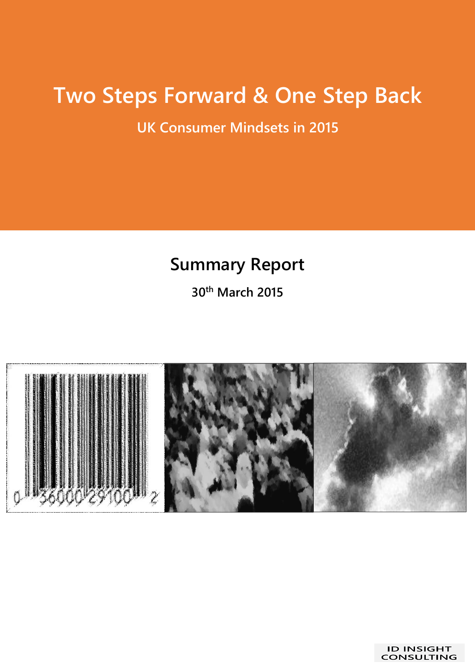# **Two Steps Forward & One Step Back**

**UK Consumer Mindsets in 2015**

### **Summary Report**

**30th March 2015**

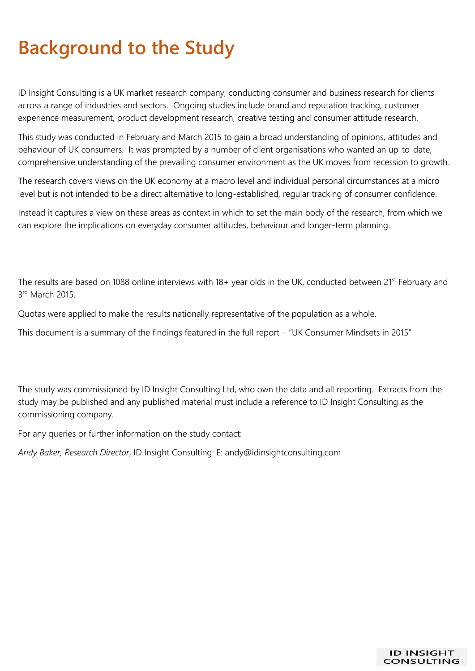# **Background to the Study**

ID Insight Consulting is a UK market research company, conducting consumer and business research for clients across a range of industries and sectors. Ongoing studies include brand and reputation tracking, customer experience measurement, product development research, creative testing and consumer attitude research.

This study was conducted in February and March 2015 to gain a broad understanding of opinions, attitudes and behaviour of UK consumers. It was prompted by a number of client organisations who wanted an up-to-date, comprehensive understanding of the prevailing consumer environment as the UK moves from recession to growth.

The research covers views on the UK economy at a macro level and individual personal circumstances at a micro level but is not intended to be a direct alternative to long-established, regular tracking of consumer confidence.

Instead it captures a view on these areas as context in which to set the main body of the research, from which we can explore the implications on everyday consumer attitudes, behaviour and longer-term planning.

The results are based on 1088 online interviews with 18+ year olds in the UK, conducted between 21<sup>st</sup> February and 3rd March 2015.

Quotas were applied to make the results nationally representative of the population as a whole.

This document is a summary of the findings featured in the full report – "UK Consumer Mindsets in 2015"

The study was commissioned by ID Insight Consulting Ltd, who own the data and all reporting. Extracts from the study may be published and any published material must include a reference to ID Insight Consulting as the commissioning company.

For any queries or further information on the study contact:

*Andy Baker, Research Director*, ID Insight Consulting: E: andy@idinsightconsulting.com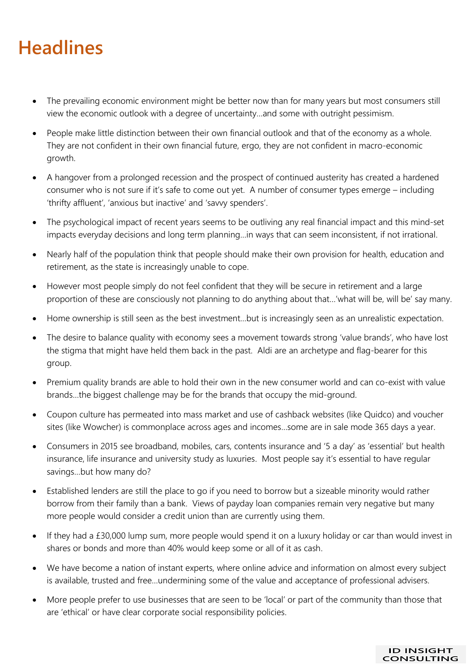### **Headlines**

- The prevailing economic environment might be better now than for many years but most consumers still view the economic outlook with a degree of uncertainty…and some with outright pessimism.
- People make little distinction between their own financial outlook and that of the economy as a whole. They are not confident in their own financial future, ergo, they are not confident in macro-economic growth.
- A hangover from a prolonged recession and the prospect of continued austerity has created a hardened consumer who is not sure if it's safe to come out yet. A number of consumer types emerge – including 'thrifty affluent', 'anxious but inactive' and 'savvy spenders'.
- The psychological impact of recent years seems to be outliving any real financial impact and this mind-set impacts everyday decisions and long term planning…in ways that can seem inconsistent, if not irrational.
- Nearly half of the population think that people should make their own provision for health, education and retirement, as the state is increasingly unable to cope.
- However most people simply do not feel confident that they will be secure in retirement and a large proportion of these are consciously not planning to do anything about that…'what will be, will be' say many.
- Home ownership is still seen as the best investment…but is increasingly seen as an unrealistic expectation.
- The desire to balance quality with economy sees a movement towards strong 'value brands', who have lost the stigma that might have held them back in the past. Aldi are an archetype and flag-bearer for this group.
- Premium quality brands are able to hold their own in the new consumer world and can co-exist with value brands…the biggest challenge may be for the brands that occupy the mid-ground.
- Coupon culture has permeated into mass market and use of cashback websites (like Quidco) and voucher sites (like Wowcher) is commonplace across ages and incomes…some are in sale mode 365 days a year.
- Consumers in 2015 see broadband, mobiles, cars, contents insurance and '5 a day' as 'essential' but health insurance, life insurance and university study as luxuries. Most people say it's essential to have regular savings…but how many do?
- Established lenders are still the place to go if you need to borrow but a sizeable minority would rather borrow from their family than a bank. Views of payday loan companies remain very negative but many more people would consider a credit union than are currently using them.
- If they had a £30,000 lump sum, more people would spend it on a luxury holiday or car than would invest in shares or bonds and more than 40% would keep some or all of it as cash.
- We have become a nation of instant experts, where online advice and information on almost every subject is available, trusted and free…undermining some of the value and acceptance of professional advisers.
- More people prefer to use businesses that are seen to be 'local' or part of the community than those that are 'ethical' or have clear corporate social responsibility policies.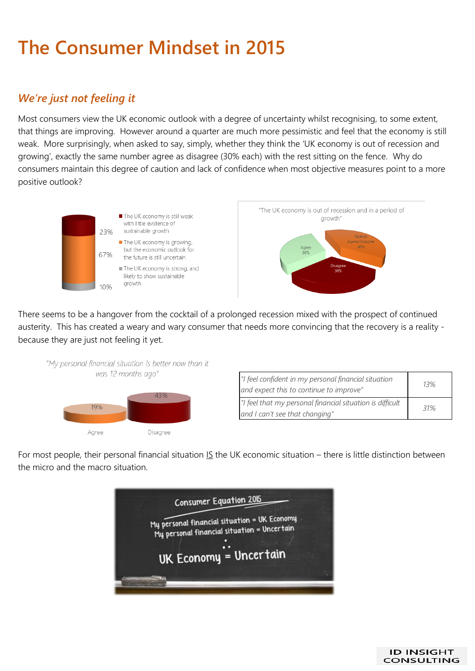## **The Consumer Mindset in 2015**

### *We're just not feeling it*

Most consumers view the UK economic outlook with a degree of uncertainty whilst recognising, to some extent, that things are improving. However around a quarter are much more pessimistic and feel that the economy is still weak. More surprisingly, when asked to say, simply, whether they think the 'UK economy is out of recession and growing', exactly the same number agree as disagree (30% each) with the rest sitting on the fence. Why do consumers maintain this degree of caution and lack of confidence when most objective measures point to a more positive outlook?



There seems to be a hangover from the cocktail of a prolonged recession mixed with the prospect of continued austerity. This has created a weary and wary consumer that needs more convincing that the recovery is a reality because they are just not feeling it yet.



| "I feel confident in my personal financial situation<br>and expect this to continue to improve" | 13% |
|-------------------------------------------------------------------------------------------------|-----|
| "I feel that my personal financial situation is difficult<br>and I can't see that changing"     | 31% |

For most people, their personal financial situation IS the UK economic situation – there is little distinction between the micro and the macro situation.



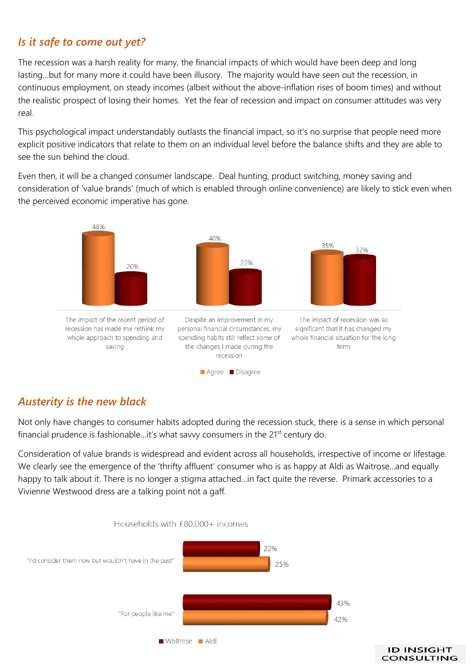#### *Is it safe to come out yet?*

The recession was a harsh reality for many, the financial impacts of which would have been deep and long lasting…but for many more it could have been illusory. The majority would have seen out the recession, in continuous employment, on steady incomes (albeit without the above-inflation rises of boom times) and without the realistic prospect of losing their homes. Yet the fear of recession and impact on consumer attitudes was very real.

This psychological impact understandably outlasts the financial impact, so it's no surprise that people need more explicit positive indicators that relate to them on an individual level before the balance shifts and they are able to see the sun behind the cloud.

Even then, it will be a changed consumer landscape. Deal hunting, product switching, money saving and consideration of 'value brands' (much of which is enabled through online convenience) are likely to stick even when the perceived economic imperative has gone.



#### *Austerity is the new black*

Not only have changes to consumer habits adopted during the recession stuck, there is a sense in which personal financial prudence is fashionable...it's what savvy consumers in the 21<sup>st</sup> century do.

Consideration of value brands is widespread and evident across all households, irrespective of income or lifestage. We clearly see the emergence of the 'thrifty affluent' consumer who is as happy at Aldi as Waitrose...and equally happy to talk about it. There is no longer a stigma attached…in fact quite the reverse. Primark accessories to a Vivienne Westwood dress are a talking point not a gaff.



**ID INSIGHT CONSULTING**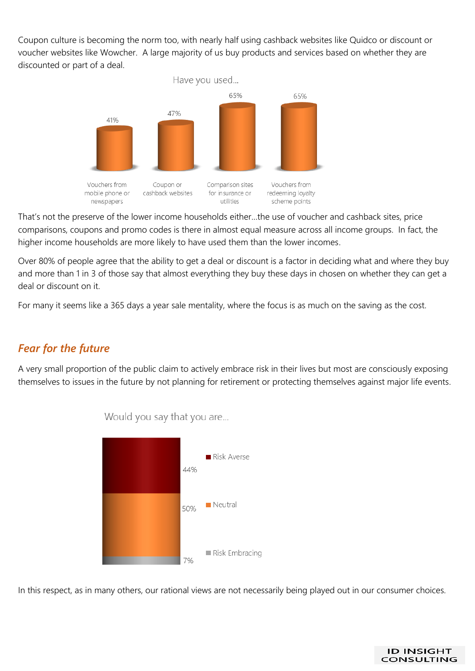Coupon culture is becoming the norm too, with nearly half using cashback websites like Quidco or discount or voucher websites like Wowcher. A large majority of us buy products and services based on whether they are discounted or part of a deal.



That's not the preserve of the lower income households either…the use of voucher and cashback sites, price comparisons, coupons and promo codes is there in almost equal measure across all income groups. In fact, the higher income households are more likely to have used them than the lower incomes.

Over 80% of people agree that the ability to get a deal or discount is a factor in deciding what and where they buy and more than 1 in 3 of those say that almost everything they buy these days in chosen on whether they can get a deal or discount on it.

For many it seems like a 365 days a year sale mentality, where the focus is as much on the saving as the cost.

#### *Fear for the future*

A very small proportion of the public claim to actively embrace risk in their lives but most are consciously exposing themselves to issues in the future by not planning for retirement or protecting themselves against major life events.



Would you say that you are...

In this respect, as in many others, our rational views are not necessarily being played out in our consumer choices.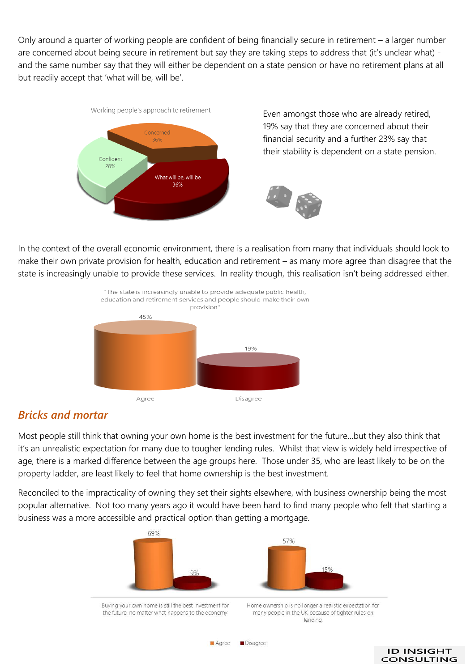Only around a quarter of working people are confident of being financially secure in retirement – a larger number are concerned about being secure in retirement but say they are taking steps to address that (it's unclear what) and the same number say that they will either be dependent on a state pension or have no retirement plans at all but readily accept that 'what will be, will be'.



Even amongst those who are already retired, 19% say that they are concerned about their financial security and a further 23% say that their stability is dependent on a state pension.



In the context of the overall economic environment, there is a realisation from many that individuals should look to make their own private provision for health, education and retirement – as many more agree than disagree that the state is increasingly unable to provide these services. In reality though, this realisation isn't being addressed either.



#### *Bricks and mortar*

Most people still think that owning your own home is the best investment for the future…but they also think that it's an unrealistic expectation for many due to tougher lending rules. Whilst that view is widely held irrespective of age, there is a marked difference between the age groups here. Those under 35, who are least likely to be on the property ladder, are least likely to feel that home ownership is the best investment.

Reconciled to the impracticality of owning they set their sights elsewhere, with business ownership being the most popular alternative. Not too many years ago it would have been hard to find many people who felt that starting a business was a more accessible and practical option than getting a mortgage.

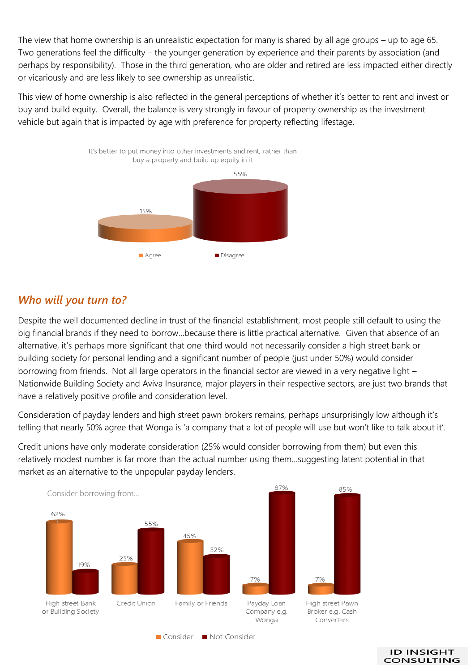The view that home ownership is an unrealistic expectation for many is shared by all age groups – up to age 65. Two generations feel the difficulty – the younger generation by experience and their parents by association (and perhaps by responsibility). Those in the third generation, who are older and retired are less impacted either directly or vicariously and are less likely to see ownership as unrealistic.

This view of home ownership is also reflected in the general perceptions of whether it's better to rent and invest or buy and build equity. Overall, the balance is very strongly in favour of property ownership as the investment vehicle but again that is impacted by age with preference for property reflecting lifestage.



#### *Who will you turn to?*

Despite the well documented decline in trust of the financial establishment, most people still default to using the big financial brands if they need to borrow…because there is little practical alternative. Given that absence of an alternative, it's perhaps more significant that one-third would not necessarily consider a high street bank or building society for personal lending and a significant number of people (just under 50%) would consider borrowing from friends. Not all large operators in the financial sector are viewed in a very negative light – Nationwide Building Society and Aviva Insurance, major players in their respective sectors, are just two brands that have a relatively positive profile and consideration level.

Consideration of payday lenders and high street pawn brokers remains, perhaps unsurprisingly low although it's telling that nearly 50% agree that Wonga is 'a company that a lot of people will use but won't like to talk about it'.

Credit unions have only moderate consideration (25% would consider borrowing from them) but even this relatively modest number is far more than the actual number using them…suggesting latent potential in that market as an alternative to the unpopular payday lenders.



■ Consider ■ Not Consider

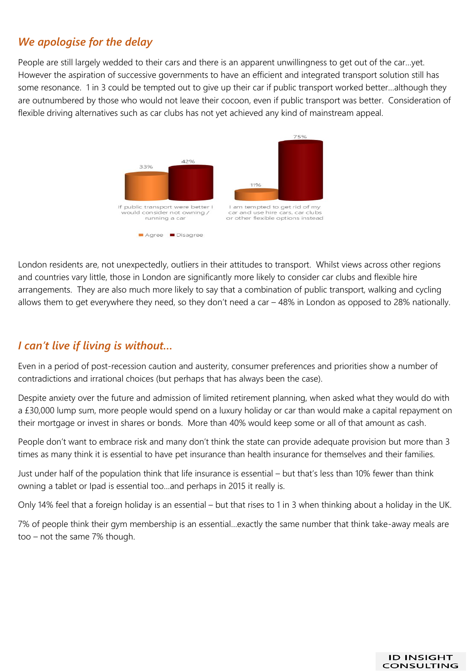#### *We apologise for the delay*

People are still largely wedded to their cars and there is an apparent unwillingness to get out of the car…yet. However the aspiration of successive governments to have an efficient and integrated transport solution still has some resonance. 1 in 3 could be tempted out to give up their car if public transport worked better…although they are outnumbered by those who would not leave their cocoon, even if public transport was better. Consideration of flexible driving alternatives such as car clubs has not yet achieved any kind of mainstream appeal.



London residents are, not unexpectedly, outliers in their attitudes to transport. Whilst views across other regions and countries vary little, those in London are significantly more likely to consider car clubs and flexible hire arrangements. They are also much more likely to say that a combination of public transport, walking and cycling allows them to get everywhere they need, so they don't need a car – 48% in London as opposed to 28% nationally.

#### *I can't live if living is without…*

Even in a period of post-recession caution and austerity, consumer preferences and priorities show a number of contradictions and irrational choices (but perhaps that has always been the case).

Despite anxiety over the future and admission of limited retirement planning, when asked what they would do with a £30,000 lump sum, more people would spend on a luxury holiday or car than would make a capital repayment on their mortgage or invest in shares or bonds. More than 40% would keep some or all of that amount as cash.

People don't want to embrace risk and many don't think the state can provide adequate provision but more than 3 times as many think it is essential to have pet insurance than health insurance for themselves and their families.

Just under half of the population think that life insurance is essential – but that's less than 10% fewer than think owning a tablet or Ipad is essential too…and perhaps in 2015 it really is.

Only 14% feel that a foreign holiday is an essential – but that rises to 1 in 3 when thinking about a holiday in the UK.

7% of people think their gym membership is an essential…exactly the same number that think take-away meals are too – not the same 7% though.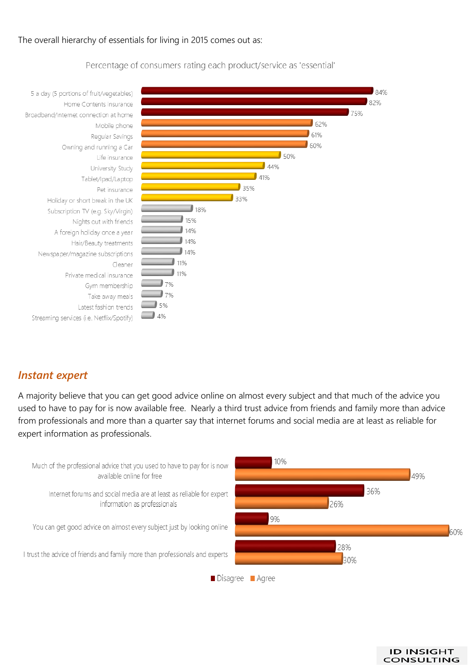#### The overall hierarchy of essentials for living in 2015 comes out as:



Percentage of consumers rating each product/service as 'essential'

#### *Instant expert*

A majority believe that you can get good advice online on almost every subject and that much of the advice you used to have to pay for is now available free. Nearly a third trust advice from friends and family more than advice from professionals and more than a quarter say that internet forums and social media are at least as reliable for expert information as professionals.



**ID INSIGHT CONSULTING**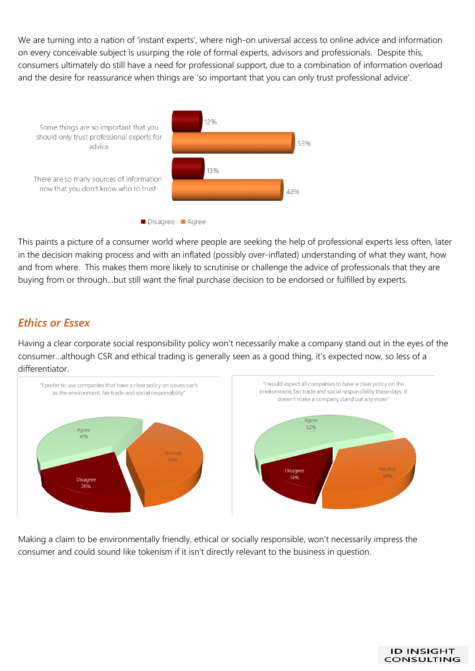We are turning into a nation of 'instant experts', where nigh-on universal access to online advice and information on every conceivable subject is usurping the role of formal experts, advisors and professionals. Despite this, consumers ultimately do still have a need for professional support, due to a combination of information overload and the desire for reassurance when things are 'so important that you can only trust professional advice'.



This paints a picture of a consumer world where people are seeking the help of professional experts less often, later in the decision making process and with an inflated (possibly over-inflated) understanding of what they want, how and from where. This makes them more likely to scrutinise or challenge the advice of professionals that they are buying from or through…but still want the final purchase decision to be endorsed or fulfilled by experts.

#### *Ethics or Essex*

Having a clear corporate social responsibility policy won't necessarily make a company stand out in the eyes of the consumer…although CSR and ethical trading is generally seen as a good thing, it's expected now, so less of a differentiator.



Making a claim to be environmentally friendly, ethical or socially responsible, won't necessarily impress the consumer and could sound like tokenism if it isn't directly relevant to the business in question.